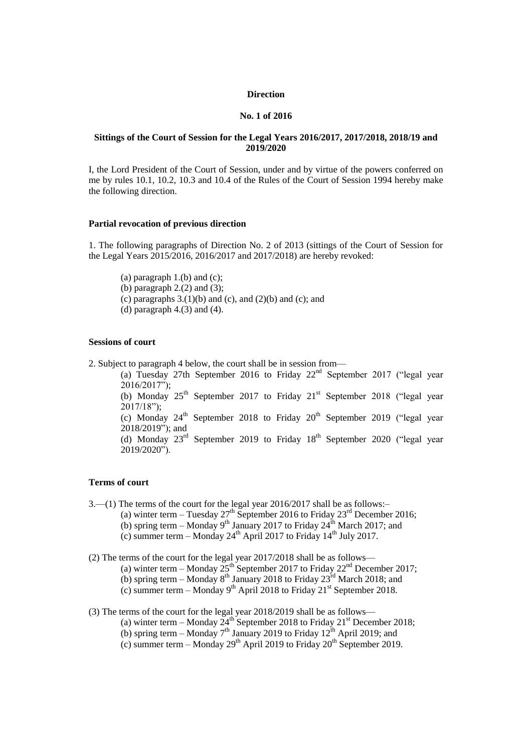### **Direction**

### **No. 1 of 2016**

### **Sittings of the Court of Session for the Legal Years 2016/2017, 2017/2018, 2018/19 and 2019/2020**

I, the Lord President of the Court of Session, under and by virtue of the powers conferred on me by rules 10.1, 10.2, 10.3 and 10.4 of the Rules of the Court of Session 1994 hereby make the following direction.

### **Partial revocation of previous direction**

1. The following paragraphs of Direction No. 2 of 2013 (sittings of the Court of Session for the Legal Years 2015/2016, 2016/2017 and 2017/2018) are hereby revoked:

(a) paragraph  $1.(b)$  and  $(c)$ ; (b) paragraph  $2(2)$  and  $(3)$ ; (c) paragraphs  $3(1)(b)$  and (c), and  $(2)(b)$  and (c); and

(d) paragraph  $4(3)$  and  $(4)$ .

### **Sessions of court**

2. Subject to paragraph 4 below, the court shall be in session from—

(a) Tuesday 27th September 2016 to Friday  $22<sup>nd</sup>$  September 2017 ("legal year 2016/2017"); (b) Monday  $25<sup>th</sup>$  September 2017 to Friday  $21<sup>st</sup>$  September 2018 ("legal year  $2017/18"$ ; (c) Monday  $24<sup>th</sup>$  September 2018 to Friday  $20<sup>th</sup>$  September 2019 ("legal year 2018/2019"); and (d) Monday  $23<sup>rd</sup>$  September 2019 to Friday 18<sup>th</sup> September 2020 ("legal year 2019/2020").

#### **Terms of court**

3.—(1) The terms of the court for the legal year 2016/2017 shall be as follows:– (a) winter term – Tuesday  $27<sup>th</sup>$  September 2016 to Friday  $23<sup>rd</sup>$  December 2016; (b) spring term – Monday  $9<sup>th</sup>$  January 2017 to Friday  $24<sup>th</sup>$  March 2017; and

(c) summer term – Monday  $24<sup>th</sup>$  April 2017 to Friday  $14<sup>th</sup>$  July 2017.

(2) The terms of the court for the legal year 2017/2018 shall be as follows— (a) winter term – Monday  $25<sup>th</sup>$  September 2017 to Friday  $22<sup>nd</sup>$  December 2017; (b) spring term – Monday  $8^{th}$  January 2018 to Friday  $23^{rd}$  March 2018; and (c) summer term – Monday 9<sup>th</sup> April 2018 to Friday 21<sup>st</sup> September 2018.

(3) The terms of the court for the legal year 2018/2019 shall be as follows—

(a) winter term – Monday  $24^{\text{th}}$  September 2018 to Friday 21<sup>st</sup> December 2018;

(b) spring term – Monday  $7<sup>th</sup>$  January 2019 to Friday 12<sup>th</sup> April 2019; and

(c) summer term – Monday  $29<sup>th</sup>$  April 2019 to Friday  $20<sup>th</sup>$  September 2019.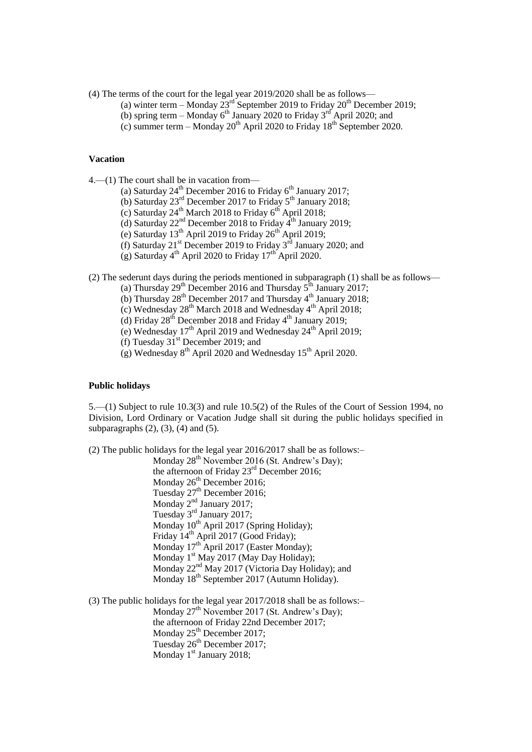- (4) The terms of the court for the legal year 2019/2020 shall be as follows—
	- (a) winter term Monday  $23<sup>rd</sup>$  September 2019 to Friday  $20<sup>th</sup>$  December 2019;
		- (b) spring term Monday  $6<sup>th</sup>$  January 2020 to Friday 3<sup>rd</sup> April 2020; and
		- (c) summer term Monday  $20^{th}$  April 2020 to Friday 18<sup>th</sup> September 2020.

#### **Vacation**

4.—(1) The court shall be in vacation from—

- (a) Saturday  $24^{th}$  December 2016 to Friday  $6^{th}$  January 2017;
- (b) Saturday  $23<sup>rd</sup>$  December 2017 to Friday  $5<sup>th</sup>$  January 2018;
- (c) Saturday  $24^{th}$  March 2018 to Friday  $6^{th}$  April 2018;
- (d) Saturday  $22<sup>nd</sup>$  December 2018 to Friday  $4<sup>th</sup>$  January 2019:
- (e) Saturday  $13<sup>th</sup>$  April 2019 to Friday  $26<sup>th</sup>$  April 2019;
- (f) Saturday  $21^{st}$  December 2019 to Friday  $3^{rd}$  January 2020; and
- (g) Saturday  $4<sup>th</sup>$  April 2020 to Friday  $17<sup>th</sup>$  April 2020.

(2) The sederunt days during the periods mentioned in subparagraph (1) shall be as follows—

- (a) Thursday  $29^{th}$  December 2016 and Thursday  $5^{th}$  January 2017;
- (b) Thursday  $28^{th}$  December 2017 and Thursday  $4^{th}$  January 2018;
- (c) Wednesday 28th March 2018 and Wednesday 4th April 2018;
- (d) Friday  $28^{th}$  December 2018 and Friday  $4^{th}$  January 2019;
- (e) Wednesday  $17<sup>th</sup>$  April 2019 and Wednesday  $24<sup>th</sup>$  April 2019;
- (f) Tuesday  $31^{\text{st}}$  December 2019; and
- $(g)$  Wednesday 8<sup>th</sup> April 2020 and Wednesday 15<sup>th</sup> April 2020.

## **Public holidays**

5.—(1) Subject to rule 10.3(3) and rule 10.5(2) of the Rules of the Court of Session 1994, no Division, Lord Ordinary or Vacation Judge shall sit during the public holidays specified in subparagraphs  $(2)$ ,  $(3)$ ,  $(4)$  and  $(5)$ .

(2) The public holidays for the legal year 2016/2017 shall be as follows:–

Monday 28<sup>th</sup> November 2016 (St. Andrew's Day); the afternoon of Friday  $23<sup>rd</sup>$  December 2016; Monday 26<sup>th</sup> December 2016; Tuesday 27<sup>th</sup> December 2016; Monday 2<sup>nd</sup> January 2017; Tuesday  $3<sup>rd</sup>$  January 2017; Monday  $10^{th}$  April 2017 (Spring Holiday); Friday 14<sup>th</sup> April 2017 (Good Friday); Monday  $17<sup>th</sup>$  April 2017 (Easter Monday); Monday 1<sup>st</sup> May 2017 (May Day Holiday); Monday 22<sup>nd</sup> May 2017 (Victoria Day Holiday); and Monday 18<sup>th</sup> September 2017 (Autumn Holiday).

(3) The public holidays for the legal year 2017/2018 shall be as follows:– Monday  $27<sup>th</sup>$  November 2017 (St. Andrew's Day); the afternoon of Friday 22nd December 2017; Monday  $25<sup>th</sup>$  December 2017; Tuesday 26<sup>th</sup> December 2017; Monday 1<sup>st</sup> January 2018;